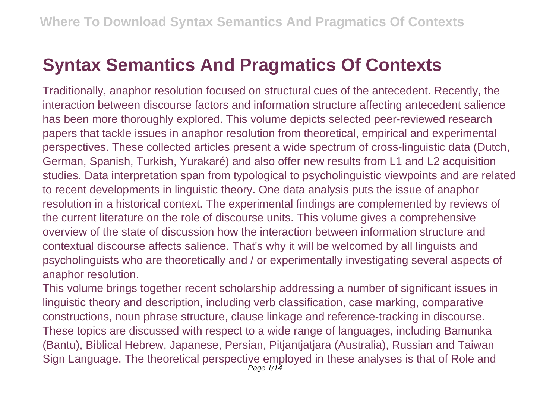## **Syntax Semantics And Pragmatics Of Contexts**

Traditionally, anaphor resolution focused on structural cues of the antecedent. Recently, the interaction between discourse factors and information structure affecting antecedent salience has been more thoroughly explored. This volume depicts selected peer-reviewed research papers that tackle issues in anaphor resolution from theoretical, empirical and experimental perspectives. These collected articles present a wide spectrum of cross-linguistic data (Dutch, German, Spanish, Turkish, Yurakaré) and also offer new results from L1 and L2 acquisition studies. Data interpretation span from typological to psycholinguistic viewpoints and are related to recent developments in linguistic theory. One data analysis puts the issue of anaphor resolution in a historical context. The experimental findings are complemented by reviews of the current literature on the role of discourse units. This volume gives a comprehensive overview of the state of discussion how the interaction between information structure and contextual discourse affects salience. That's why it will be welcomed by all linguists and psycholinguists who are theoretically and / or experimentally investigating several aspects of anaphor resolution.

This volume brings together recent scholarship addressing a number of significant issues in linguistic theory and description, including verb classification, case marking, comparative constructions, noun phrase structure, clause linkage and reference-tracking in discourse. These topics are discussed with respect to a wide range of languages, including Bamunka (Bantu), Biblical Hebrew, Japanese, Persian, Pitjantjatjara (Australia), Russian and Taiwan Sign Language. The theoretical perspective employed in these analyses is that of Role and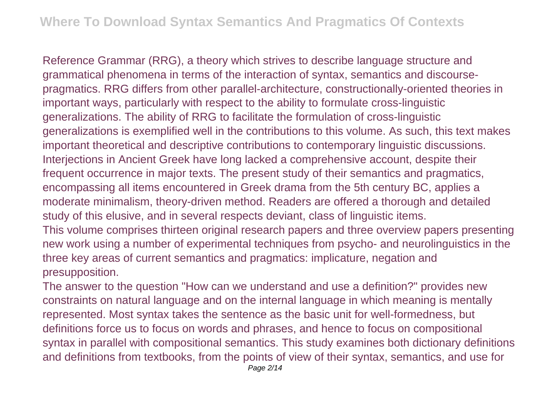Reference Grammar (RRG), a theory which strives to describe language structure and grammatical phenomena in terms of the interaction of syntax, semantics and discoursepragmatics. RRG differs from other parallel-architecture, constructionally-oriented theories in important ways, particularly with respect to the ability to formulate cross-linguistic generalizations. The ability of RRG to facilitate the formulation of cross-linguistic generalizations is exemplified well in the contributions to this volume. As such, this text makes important theoretical and descriptive contributions to contemporary linguistic discussions. Interjections in Ancient Greek have long lacked a comprehensive account, despite their frequent occurrence in major texts. The present study of their semantics and pragmatics, encompassing all items encountered in Greek drama from the 5th century BC, applies a moderate minimalism, theory-driven method. Readers are offered a thorough and detailed study of this elusive, and in several respects deviant, class of linguistic items. This volume comprises thirteen original research papers and three overview papers presenting

new work using a number of experimental techniques from psycho- and neurolinguistics in the three key areas of current semantics and pragmatics: implicature, negation and presupposition.

The answer to the question "How can we understand and use a definition?" provides new constraints on natural language and on the internal language in which meaning is mentally represented. Most syntax takes the sentence as the basic unit for well-formedness, but definitions force us to focus on words and phrases, and hence to focus on compositional syntax in parallel with compositional semantics. This study examines both dictionary definitions and definitions from textbooks, from the points of view of their syntax, semantics, and use for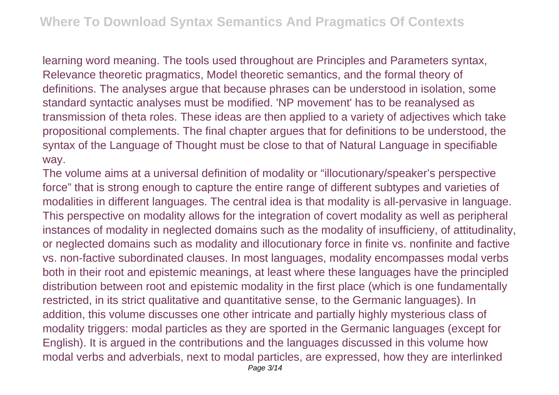learning word meaning. The tools used throughout are Principles and Parameters syntax, Relevance theoretic pragmatics, Model theoretic semantics, and the formal theory of definitions. The analyses argue that because phrases can be understood in isolation, some standard syntactic analyses must be modified. 'NP movement' has to be reanalysed as transmission of theta roles. These ideas are then applied to a variety of adjectives which take propositional complements. The final chapter argues that for definitions to be understood, the syntax of the Language of Thought must be close to that of Natural Language in specifiable way.

The volume aims at a universal definition of modality or "illocutionary/speaker's perspective force" that is strong enough to capture the entire range of different subtypes and varieties of modalities in different languages. The central idea is that modality is all-pervasive in language. This perspective on modality allows for the integration of covert modality as well as peripheral instances of modality in neglected domains such as the modality of insufficieny, of attitudinality, or neglected domains such as modality and illocutionary force in finite vs. nonfinite and factive vs. non-factive subordinated clauses. In most languages, modality encompasses modal verbs both in their root and epistemic meanings, at least where these languages have the principled distribution between root and epistemic modality in the first place (which is one fundamentally restricted, in its strict qualitative and quantitative sense, to the Germanic languages). In addition, this volume discusses one other intricate and partially highly mysterious class of modality triggers: modal particles as they are sported in the Germanic languages (except for English). It is argued in the contributions and the languages discussed in this volume how modal verbs and adverbials, next to modal particles, are expressed, how they are interlinked Page 3/14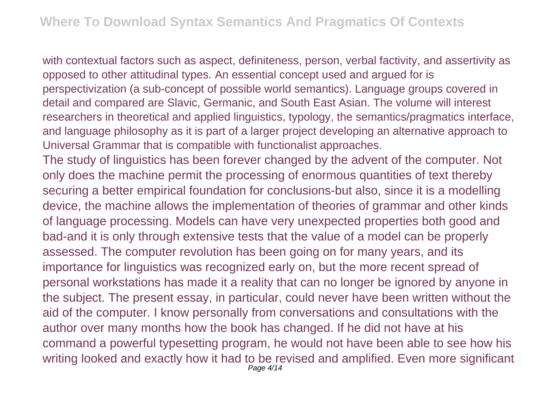with contextual factors such as aspect, definiteness, person, verbal factivity, and assertivity as opposed to other attitudinal types. An essential concept used and argued for is perspectivization (a sub-concept of possible world semantics). Language groups covered in detail and compared are Slavic, Germanic, and South East Asian. The volume will interest researchers in theoretical and applied linguistics, typology, the semantics/pragmatics interface, and language philosophy as it is part of a larger project developing an alternative approach to Universal Grammar that is compatible with functionalist approaches.

The study of linguistics has been forever changed by the advent of the computer. Not only does the machine permit the processing of enormous quantities of text thereby securing a better empirical foundation for conclusions-but also, since it is a modelling device, the machine allows the implementation of theories of grammar and other kinds of language processing. Models can have very unexpected properties both good and bad-and it is only through extensive tests that the value of a model can be properly assessed. The computer revolution has been going on for many years, and its importance for linguistics was recognized early on, but the more recent spread of personal workstations has made it a reality that can no longer be ignored by anyone in the subject. The present essay, in particular, could never have been written without the aid of the computer. I know personally from conversations and consultations with the author over many months how the book has changed. If he did not have at his command a powerful typesetting program, he would not have been able to see how his writing looked and exactly how it had to be revised and amplified. Even more significant Page 4/14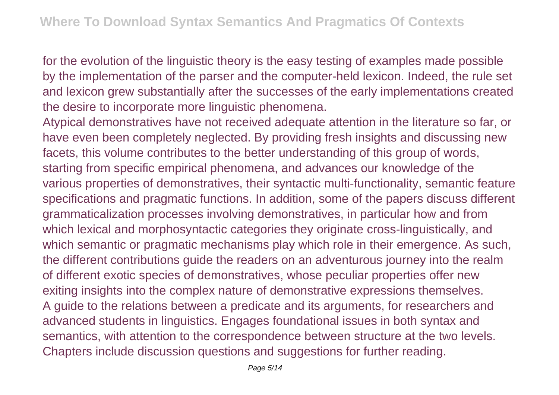for the evolution of the linguistic theory is the easy testing of examples made possible by the implementation of the parser and the computer-held lexicon. Indeed, the rule set and lexicon grew substantially after the successes of the early implementations created the desire to incorporate more linguistic phenomena.

Atypical demonstratives have not received adequate attention in the literature so far, or have even been completely neglected. By providing fresh insights and discussing new facets, this volume contributes to the better understanding of this group of words, starting from specific empirical phenomena, and advances our knowledge of the various properties of demonstratives, their syntactic multi-functionality, semantic feature specifications and pragmatic functions. In addition, some of the papers discuss different grammaticalization processes involving demonstratives, in particular how and from which lexical and morphosyntactic categories they originate cross-linguistically, and which semantic or pragmatic mechanisms play which role in their emergence. As such, the different contributions guide the readers on an adventurous journey into the realm of different exotic species of demonstratives, whose peculiar properties offer new exiting insights into the complex nature of demonstrative expressions themselves. A guide to the relations between a predicate and its arguments, for researchers and advanced students in linguistics. Engages foundational issues in both syntax and semantics, with attention to the correspondence between structure at the two levels. Chapters include discussion questions and suggestions for further reading.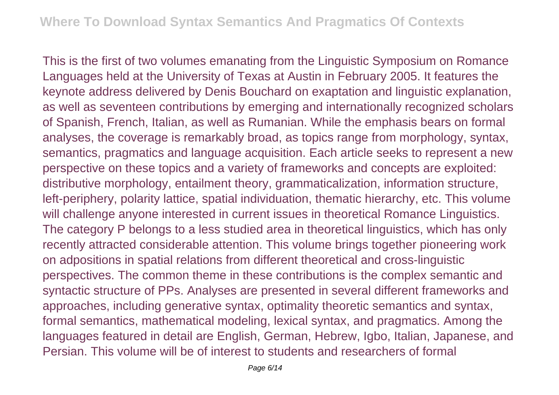This is the first of two volumes emanating from the Linguistic Symposium on Romance Languages held at the University of Texas at Austin in February 2005. It features the keynote address delivered by Denis Bouchard on exaptation and linguistic explanation, as well as seventeen contributions by emerging and internationally recognized scholars of Spanish, French, Italian, as well as Rumanian. While the emphasis bears on formal analyses, the coverage is remarkably broad, as topics range from morphology, syntax, semantics, pragmatics and language acquisition. Each article seeks to represent a new perspective on these topics and a variety of frameworks and concepts are exploited: distributive morphology, entailment theory, grammaticalization, information structure, left-periphery, polarity lattice, spatial individuation, thematic hierarchy, etc. This volume will challenge anyone interested in current issues in theoretical Romance Linguistics. The category P belongs to a less studied area in theoretical linguistics, which has only recently attracted considerable attention. This volume brings together pioneering work on adpositions in spatial relations from different theoretical and cross-linguistic perspectives. The common theme in these contributions is the complex semantic and syntactic structure of PPs. Analyses are presented in several different frameworks and approaches, including generative syntax, optimality theoretic semantics and syntax, formal semantics, mathematical modeling, lexical syntax, and pragmatics. Among the languages featured in detail are English, German, Hebrew, Igbo, Italian, Japanese, and Persian. This volume will be of interest to students and researchers of formal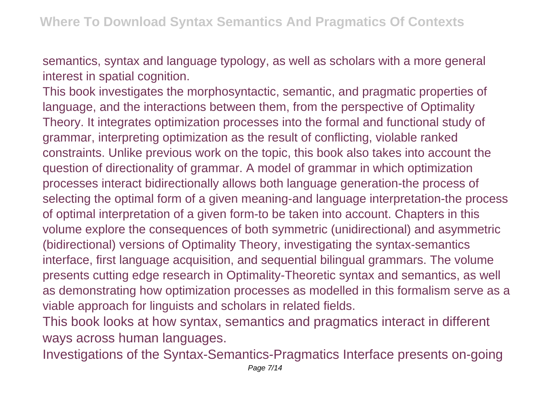semantics, syntax and language typology, as well as scholars with a more general interest in spatial cognition.

This book investigates the morphosyntactic, semantic, and pragmatic properties of language, and the interactions between them, from the perspective of Optimality Theory. It integrates optimization processes into the formal and functional study of grammar, interpreting optimization as the result of conflicting, violable ranked constraints. Unlike previous work on the topic, this book also takes into account the question of directionality of grammar. A model of grammar in which optimization processes interact bidirectionally allows both language generation-the process of selecting the optimal form of a given meaning-and language interpretation-the process of optimal interpretation of a given form-to be taken into account. Chapters in this volume explore the consequences of both symmetric (unidirectional) and asymmetric (bidirectional) versions of Optimality Theory, investigating the syntax-semantics interface, first language acquisition, and sequential bilingual grammars. The volume presents cutting edge research in Optimality-Theoretic syntax and semantics, as well as demonstrating how optimization processes as modelled in this formalism serve as a viable approach for linguists and scholars in related fields.

This book looks at how syntax, semantics and pragmatics interact in different ways across human languages.

Investigations of the Syntax-Semantics-Pragmatics Interface presents on-going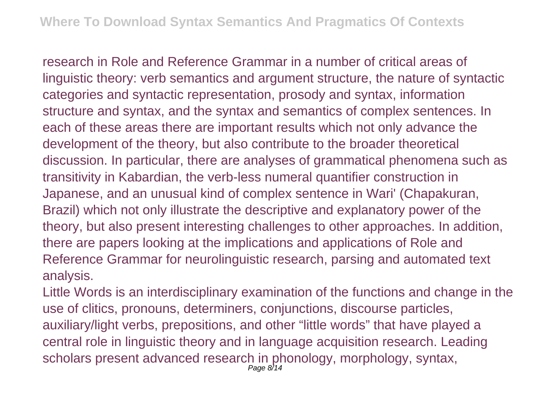research in Role and Reference Grammar in a number of critical areas of linguistic theory: verb semantics and argument structure, the nature of syntactic categories and syntactic representation, prosody and syntax, information structure and syntax, and the syntax and semantics of complex sentences. In each of these areas there are important results which not only advance the development of the theory, but also contribute to the broader theoretical discussion. In particular, there are analyses of grammatical phenomena such as transitivity in Kabardian, the verb-less numeral quantifier construction in Japanese, and an unusual kind of complex sentence in Wari' (Chapakuran, Brazil) which not only illustrate the descriptive and explanatory power of the theory, but also present interesting challenges to other approaches. In addition, there are papers looking at the implications and applications of Role and Reference Grammar for neurolinguistic research, parsing and automated text analysis.

Little Words is an interdisciplinary examination of the functions and change in the use of clitics, pronouns, determiners, conjunctions, discourse particles, auxiliary/light verbs, prepositions, and other "little words" that have played a central role in linguistic theory and in language acquisition research. Leading scholars present advanced research in phonology, morphology, syntax, Page 8/14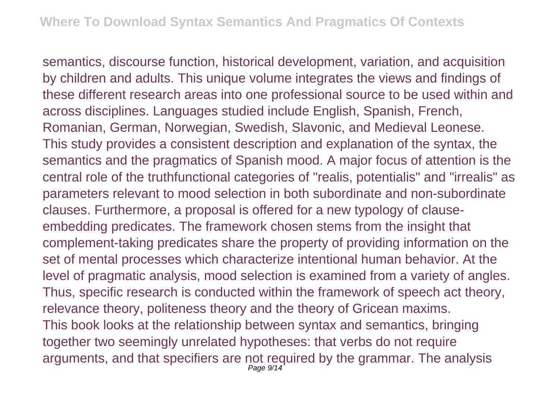semantics, discourse function, historical development, variation, and acquisition by children and adults. This unique volume integrates the views and findings of these different research areas into one professional source to be used within and across disciplines. Languages studied include English, Spanish, French, Romanian, German, Norwegian, Swedish, Slavonic, and Medieval Leonese. This study provides a consistent description and explanation of the syntax, the semantics and the pragmatics of Spanish mood. A major focus of attention is the central role of the truthfunctional categories of "realis, potentialis" and "irrealis" as parameters relevant to mood selection in both subordinate and non-subordinate clauses. Furthermore, a proposal is offered for a new typology of clauseembedding predicates. The framework chosen stems from the insight that complement-taking predicates share the property of providing information on the set of mental processes which characterize intentional human behavior. At the level of pragmatic analysis, mood selection is examined from a variety of angles. Thus, specific research is conducted within the framework of speech act theory, relevance theory, politeness theory and the theory of Gricean maxims. This book looks at the relationship between syntax and semantics, bringing together two seemingly unrelated hypotheses: that verbs do not require arguments, and that specifiers are not required by the grammar. The analysis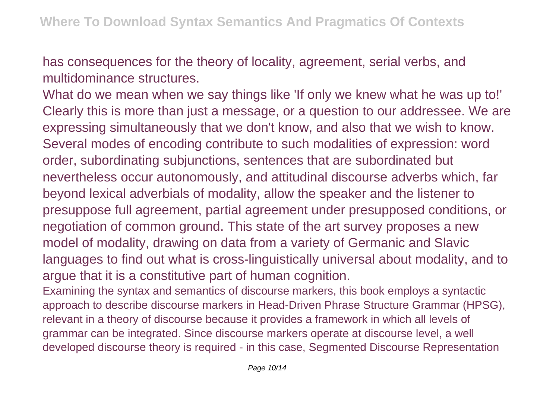has consequences for the theory of locality, agreement, serial verbs, and multidominance structures.

What do we mean when we say things like 'If only we knew what he was up to!' Clearly this is more than just a message, or a question to our addressee. We are expressing simultaneously that we don't know, and also that we wish to know. Several modes of encoding contribute to such modalities of expression: word order, subordinating subjunctions, sentences that are subordinated but nevertheless occur autonomously, and attitudinal discourse adverbs which, far beyond lexical adverbials of modality, allow the speaker and the listener to presuppose full agreement, partial agreement under presupposed conditions, or negotiation of common ground. This state of the art survey proposes a new model of modality, drawing on data from a variety of Germanic and Slavic languages to find out what is cross-linguistically universal about modality, and to argue that it is a constitutive part of human cognition.

Examining the syntax and semantics of discourse markers, this book employs a syntactic approach to describe discourse markers in Head-Driven Phrase Structure Grammar (HPSG), relevant in a theory of discourse because it provides a framework in which all levels of grammar can be integrated. Since discourse markers operate at discourse level, a well developed discourse theory is required - in this case, Segmented Discourse Representation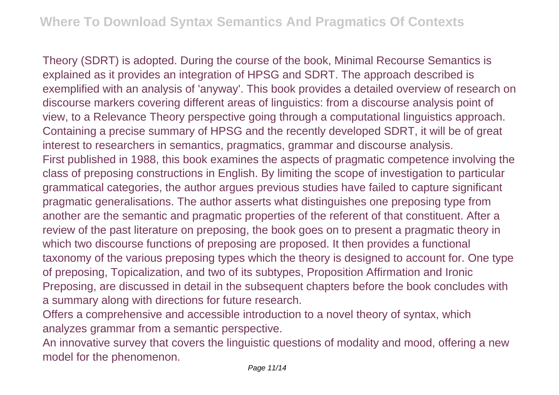Theory (SDRT) is adopted. During the course of the book, Minimal Recourse Semantics is explained as it provides an integration of HPSG and SDRT. The approach described is exemplified with an analysis of 'anyway'. This book provides a detailed overview of research on discourse markers covering different areas of linguistics: from a discourse analysis point of view, to a Relevance Theory perspective going through a computational linguistics approach. Containing a precise summary of HPSG and the recently developed SDRT, it will be of great interest to researchers in semantics, pragmatics, grammar and discourse analysis. First published in 1988, this book examines the aspects of pragmatic competence involving the class of preposing constructions in English. By limiting the scope of investigation to particular grammatical categories, the author argues previous studies have failed to capture significant pragmatic generalisations. The author asserts what distinguishes one preposing type from another are the semantic and pragmatic properties of the referent of that constituent. After a review of the past literature on preposing, the book goes on to present a pragmatic theory in which two discourse functions of preposing are proposed. It then provides a functional taxonomy of the various preposing types which the theory is designed to account for. One type of preposing, Topicalization, and two of its subtypes, Proposition Affirmation and Ironic Preposing, are discussed in detail in the subsequent chapters before the book concludes with a summary along with directions for future research.

Offers a comprehensive and accessible introduction to a novel theory of syntax, which analyzes grammar from a semantic perspective.

An innovative survey that covers the linguistic questions of modality and mood, offering a new model for the phenomenon.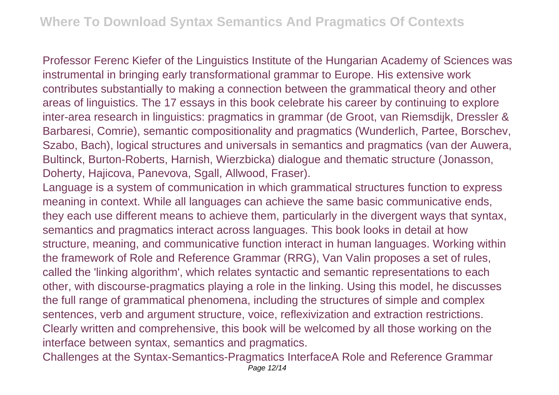Professor Ferenc Kiefer of the Linguistics Institute of the Hungarian Academy of Sciences was instrumental in bringing early transformational grammar to Europe. His extensive work contributes substantially to making a connection between the grammatical theory and other areas of linguistics. The 17 essays in this book celebrate his career by continuing to explore inter-area research in linguistics: pragmatics in grammar (de Groot, van Riemsdijk, Dressler & Barbaresi, Comrie), semantic compositionality and pragmatics (Wunderlich, Partee, Borschev, Szabo, Bach), logical structures and universals in semantics and pragmatics (van der Auwera, Bultinck, Burton-Roberts, Harnish, Wierzbicka) dialogue and thematic structure (Jonasson, Doherty, Hajicova, Panevova, Sgall, Allwood, Fraser).

Language is a system of communication in which grammatical structures function to express meaning in context. While all languages can achieve the same basic communicative ends, they each use different means to achieve them, particularly in the divergent ways that syntax, semantics and pragmatics interact across languages. This book looks in detail at how structure, meaning, and communicative function interact in human languages. Working within the framework of Role and Reference Grammar (RRG), Van Valin proposes a set of rules, called the 'linking algorithm', which relates syntactic and semantic representations to each other, with discourse-pragmatics playing a role in the linking. Using this model, he discusses the full range of grammatical phenomena, including the structures of simple and complex sentences, verb and argument structure, voice, reflexivization and extraction restrictions. Clearly written and comprehensive, this book will be welcomed by all those working on the interface between syntax, semantics and pragmatics.

Challenges at the Syntax-Semantics-Pragmatics InterfaceA Role and Reference Grammar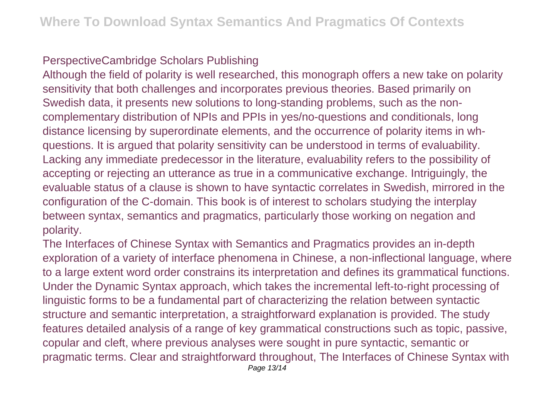## PerspectiveCambridge Scholars Publishing

Although the field of polarity is well researched, this monograph offers a new take on polarity sensitivity that both challenges and incorporates previous theories. Based primarily on Swedish data, it presents new solutions to long-standing problems, such as the noncomplementary distribution of NPIs and PPIs in yes/no-questions and conditionals, long distance licensing by superordinate elements, and the occurrence of polarity items in whquestions. It is argued that polarity sensitivity can be understood in terms of evaluability. Lacking any immediate predecessor in the literature, evaluability refers to the possibility of accepting or rejecting an utterance as true in a communicative exchange. Intriguingly, the evaluable status of a clause is shown to have syntactic correlates in Swedish, mirrored in the configuration of the C-domain. This book is of interest to scholars studying the interplay between syntax, semantics and pragmatics, particularly those working on negation and polarity.

The Interfaces of Chinese Syntax with Semantics and Pragmatics provides an in-depth exploration of a variety of interface phenomena in Chinese, a non-inflectional language, where to a large extent word order constrains its interpretation and defines its grammatical functions. Under the Dynamic Syntax approach, which takes the incremental left-to-right processing of linguistic forms to be a fundamental part of characterizing the relation between syntactic structure and semantic interpretation, a straightforward explanation is provided. The study features detailed analysis of a range of key grammatical constructions such as topic, passive, copular and cleft, where previous analyses were sought in pure syntactic, semantic or pragmatic terms. Clear and straightforward throughout, The Interfaces of Chinese Syntax with